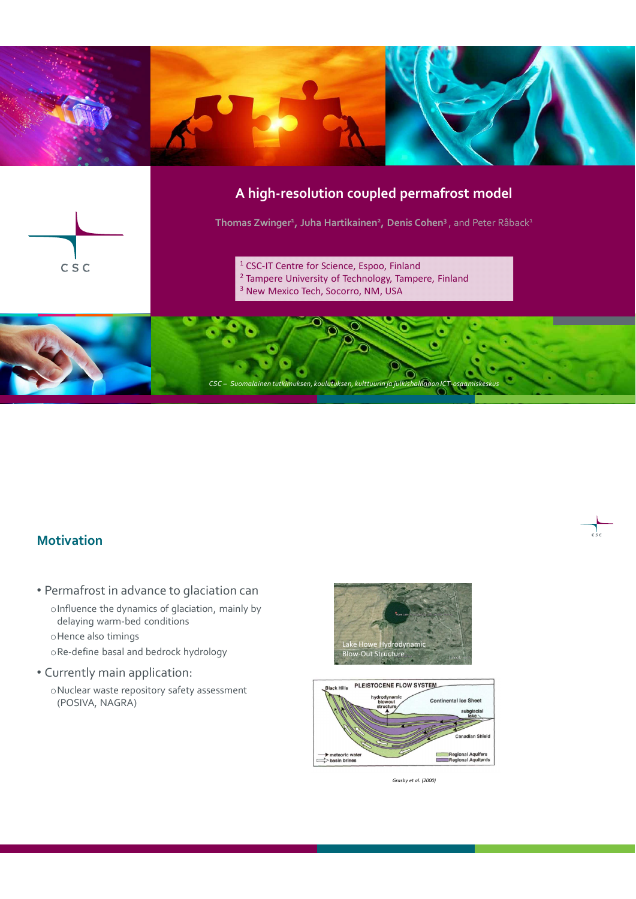

## **Motivation**

- Permafrost in advance to glaciation can
	- oInfluence the dynamics of glaciation, mainly by delaying warm-bed conditions
	- oHence also timings
	- oRe-define basal and bedrock hydrology
- Currently main application:
	- oNuclear waste repository safety assessment (POSIVA, NAGRA)





*Grasby et al. (2000)*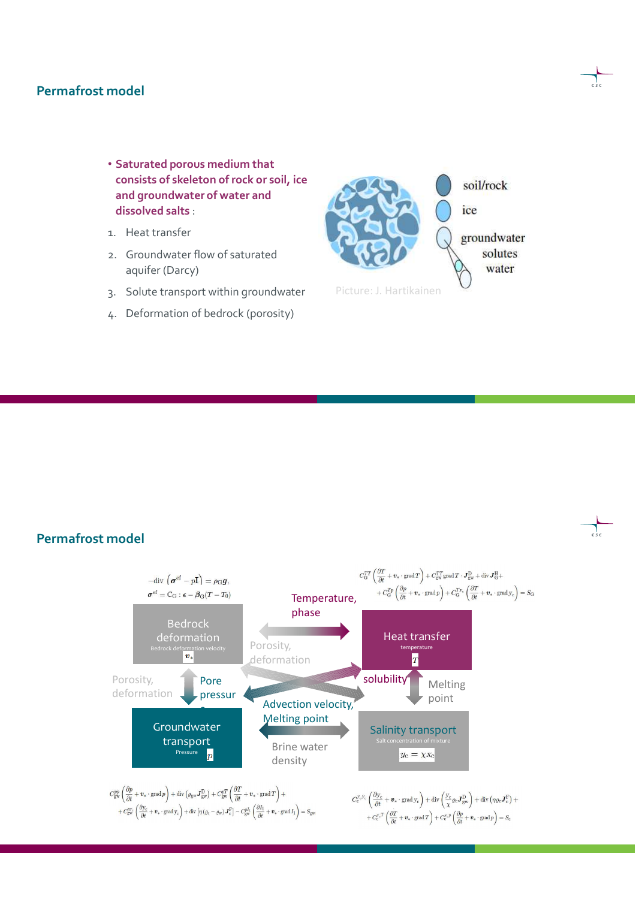#### **Permafrost model**

- **Saturated porous medium that consists of skeleton of rock or soil, ice and groundwater of water and dissolved salts** :
- 1. Heat transfer
- 2. Groundwater flow of saturated aquifer (Darcy)
- 3. Solute transport within groundwater
- 4. Deformation of bedrock (porosity)



#### **Permafrost model**

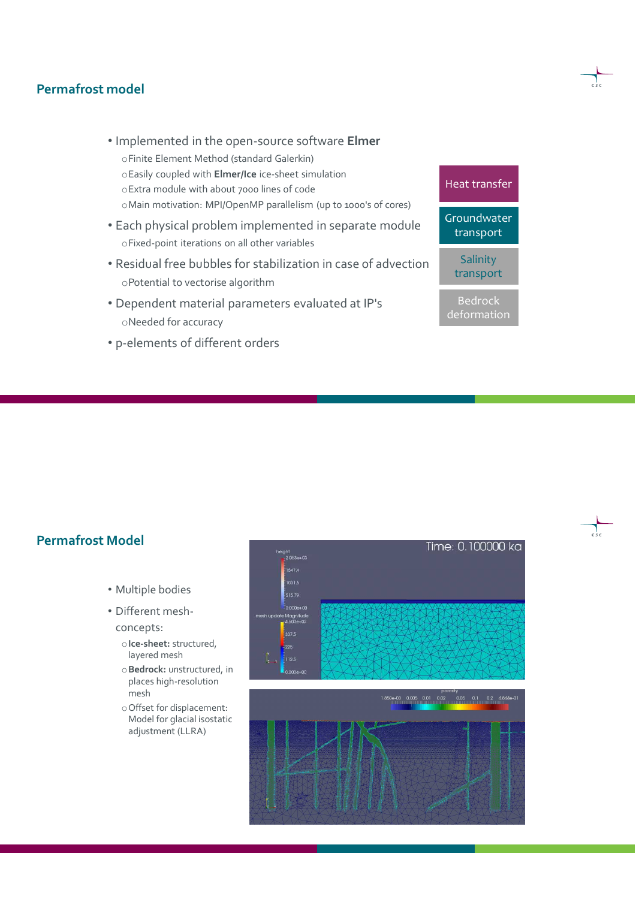#### **Permafrost model**

- Implemented in the open-source software **Elmer** oFinite Element Method (standard Galerkin) oEasily coupled with **Elmer/Ice** ice-sheet simulation oExtra module with about 7000 lines of code oMain motivation: MPI/OpenMP parallelism (up to 1000's of cores)
- Each physical problem implemented in separate module oFixed-point iterations on all other variables
- Residual free bubbles for stabilization in case of advection oPotential to vectorise algorithm
- Dependent material parameters evaluated at IP's oNeeded for accuracy
- p-elements of different orders



## **Permafrost Model**

- Multiple bodies
- Different meshconcepts:
	- o**Ice-sheet:** structured, layered mesh
	- o**Bedrock:** unstructured, in places high-resolution mesh
	- oOffset for displacement: Model for glacial isostatic adjustment (LLRA)

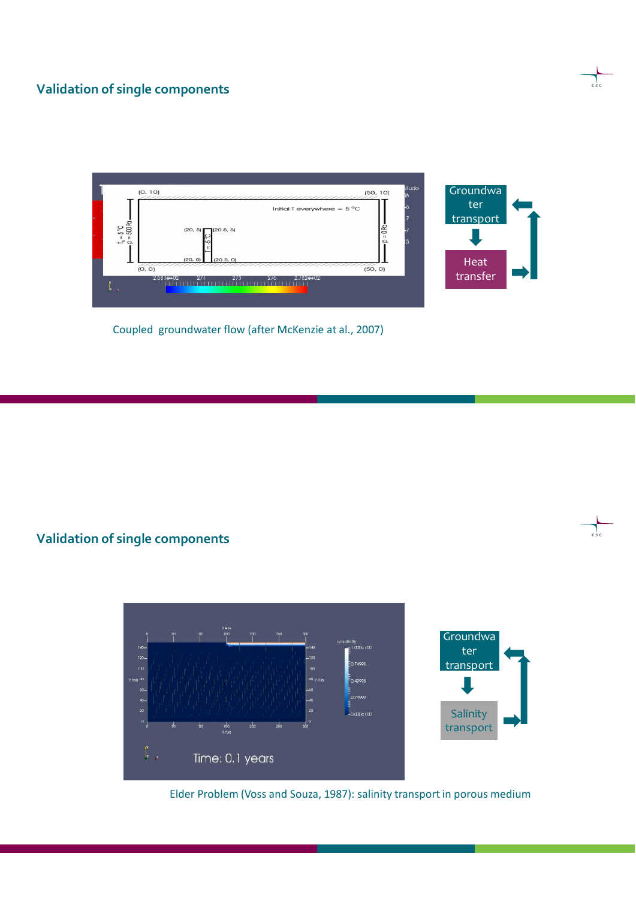#### **Validation of single components**



Coupled groundwater flow (after McKenzie at al., 2007)

# **Validation of single components**



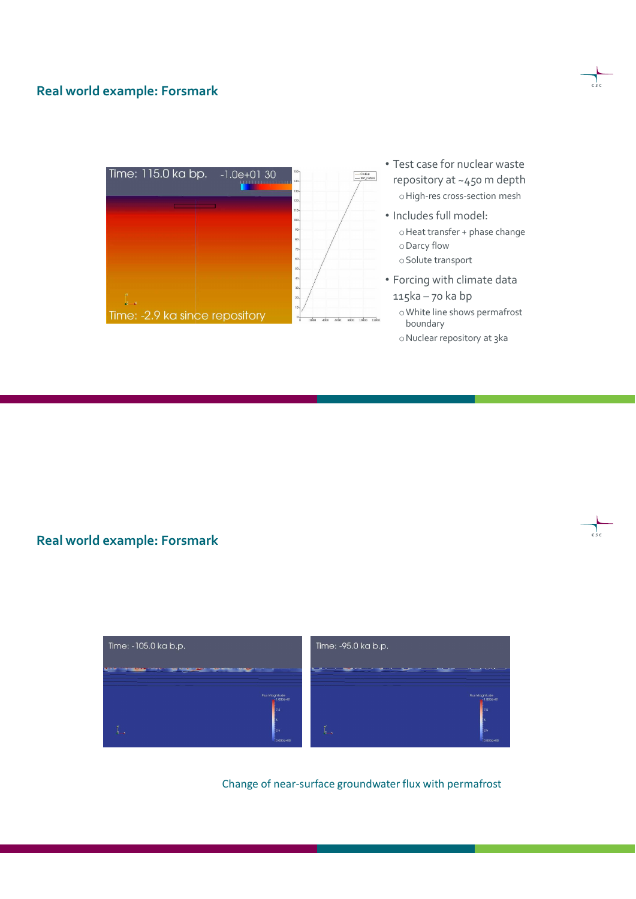#### **Real world example: Forsmark**



- Test case for nuclear waste repository at ~450 m depth oHigh-res cross-section mesh
- Includes full model: oHeat transfer + phase change oDarcy flow oSolute transport
- Forcing with climate data 115ka – 70 ka bp
	- oWhite line shows permafrost boundary
	- oNuclear repository at 3ka

**Real world example: Forsmark**



Change of near-surface groundwater flux with permafrost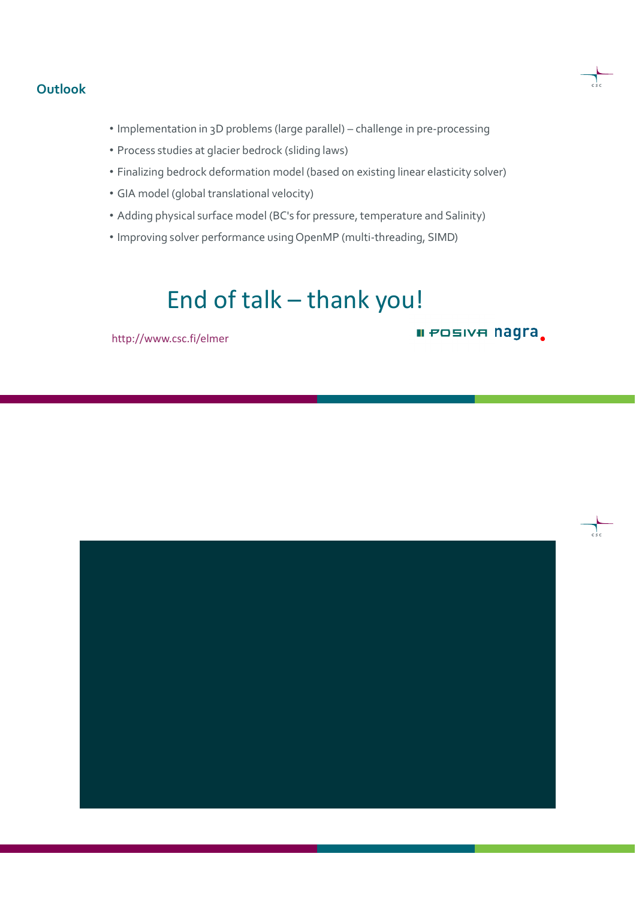#### **Outlook**

- Implementation in 3D problems (large parallel) challenge in pre-processing
- Process studies at glacier bedrock (sliding laws)
- Finalizing bedrock deformation model (based on existing linear elasticity solver)
- GIA model (global translational velocity)
- Adding physical surface model (BC's for pressure, temperature and Salinity)
- Improving solver performance using OpenMP (multi-threading, SIMD)

# End of talk – thank you!

http://www.csc.fi/elmer

**II POSIVA Nagra** 

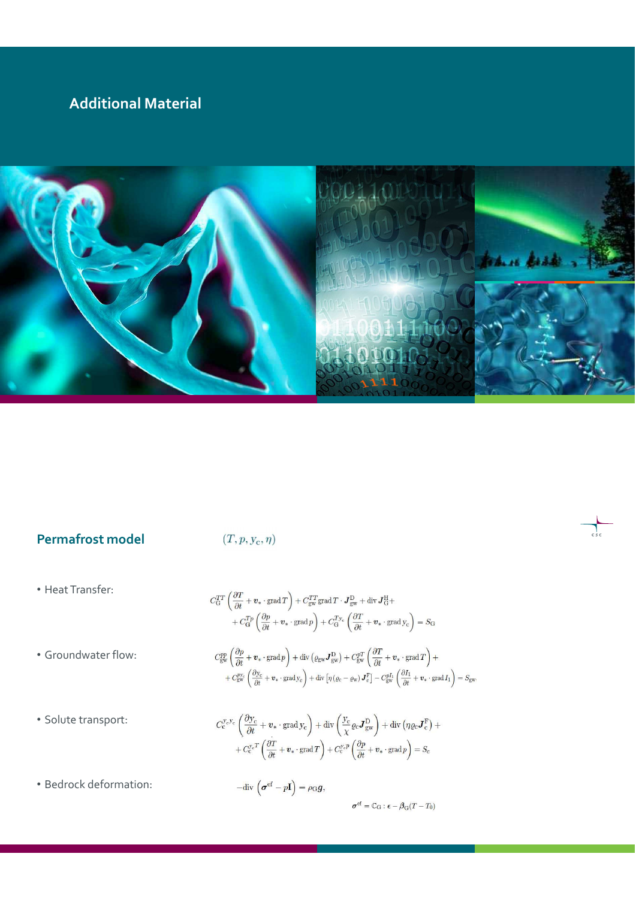# **Additional Material**



# **Permafrost model**

# $(T, p, y_c, \eta)$

• Heat Transfer:

• Groundwater flow:

• Solute transport:

$$
\begin{split} C_{\rm G}^{TT} \left( \frac{\partial T}{\partial t} + \boldsymbol{v}_* \cdot \text{grad}\, T \right) + C_{\rm gw}^{TT} \text{grad}\, T \cdot \boldsymbol{J}_{\rm gw}^{\rm D} + \text{div}\, \boldsymbol{J}_{\rm G}^{\rm H} + \\ & \quad + C_{\rm G}^{Tp} \left( \frac{\partial p}{\partial t} + \boldsymbol{v}_* \cdot \text{grad}\, p \right) + C_{\rm G}^{T_{\mathcal{F}}} \left( \frac{\partial T}{\partial t} + \boldsymbol{v}_* \cdot \text{grad}\, y_{\rm c} \right) = S_{\rm G} \\ C_{\rm gw}^{pp} \left( \frac{\partial p}{\partial t} + \boldsymbol{v}_* \cdot \text{grad}\, p \right) + \text{div}\left( \varrho_{\rm gw} \boldsymbol{J}_{\rm gw}^{\rm D} \right) + C_{\rm gw}^{pT} \left( \frac{\partial T}{\partial t} + \boldsymbol{v}_* \cdot \text{grad}\, T \right) + \\ & \quad + C_{\rm gw}^{p_{\mathcal{F}}} \left( \frac{\partial y_{\rm c}}{\partial t} + \boldsymbol{v}_* \cdot \text{grad}\, y_{\rm c} \right) + \text{div}\left[ \eta \left( \varrho_{\rm c} - \varrho_{\rm w} \right) \boldsymbol{J}_{\rm c}^{\rm F} \right] - C_{\rm gw}^{p I_1} \left( \frac{\partial I_1}{\partial t} + \boldsymbol{v}_* \cdot \text{grad}\, I_1 \right) = S_{\rm gw}. \end{split}
$$

$$
C_{c}^{y_{c}y_{c}}\left(\frac{\partial y_{c}}{\partial t}+\boldsymbol{v}_{*}\cdot\mathrm{grad}\,y_{c}\right)+\mathrm{div}\left(\frac{y_{c}}{\chi}\varrho_{c}\boldsymbol{J}_{\mathrm{gw}}^{\mathrm{D}}\right)+\mathrm{div}\left(\eta\varrho_{c}\boldsymbol{J}_{c}^{\mathrm{F}}\right)++C_{c}^{y_{c}T}\left(\frac{\partial T}{\partial t}+\boldsymbol{v}_{*}\cdot\mathrm{grad}\,T\right)+C_{c}^{y_{c}p}\left(\frac{\partial p}{\partial t}+\boldsymbol{v}_{*}\cdot\mathrm{grad}\,p\right)=S_{c}
$$

• Bedrock deformation:

 $-\text{div}\,\left(\boldsymbol{\sigma}^\text{ef} - p\mathbf{I}\right) = \rho_\mathbf{G}\boldsymbol{g},$  $\pmb{\sigma}^{\rm ef} = \mathbb{C}_{\rm G}$  :  $\pmb{\epsilon} - \pmb{\beta}_{\rm G}(T-T_0)$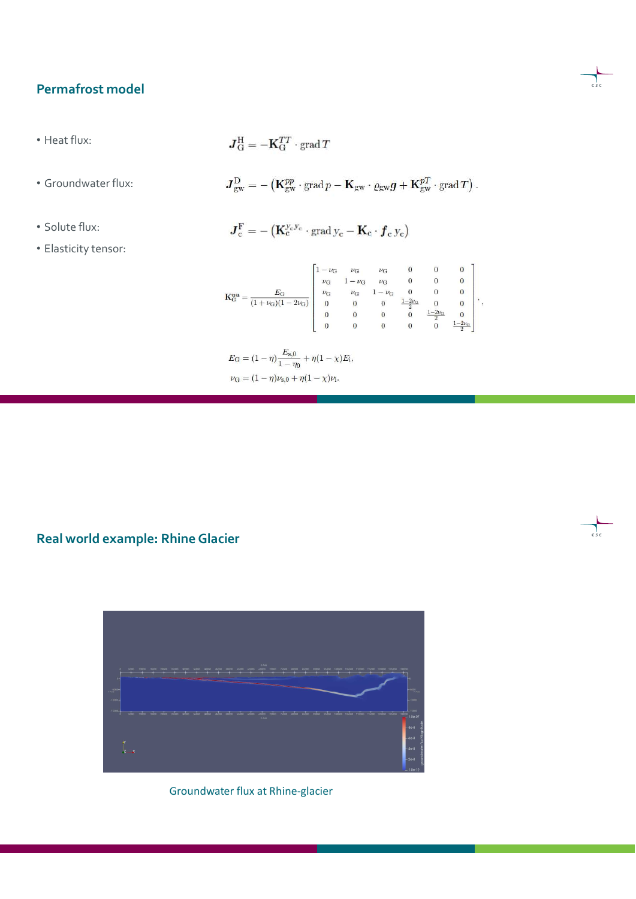# **Permafrost model**

• Heat flux:

 $\boldsymbol{J}_{\rm G}^{\rm H}=-\mathbf{K}_{\rm G}^{TT}\cdot\mathop{\rm grad}\nolimits T$ 

• Groundwater flux:

 $\pmb{J}^{\rm D}_{\rm gw} = -\left( \pmb{\mathbf{K}}^{{pp}}_{\rm gw} \cdot {\rm grad}\, p - \pmb{\mathbf{K}}_{\rm gw} \cdot \varrho_{\rm gw} \pmb{g} + \pmb{\mathbf{K}}^{{p}T}_{\rm gw} \cdot {\rm grad}\, T \right).$ 

• Solute flux:

 $\boldsymbol{J}_{\mathrm{c}}^{\mathrm{F}}=-\left(\mathbf{K}_{\mathrm{c}}^{\mathbf{y}_{\mathrm{c}}\mathbf{y}_{\mathrm{c}}}\cdot\mathrm{grad}\,\mathbf{y}_{\mathrm{c}}-\mathbf{K}_{\mathrm{c}}\cdot\boldsymbol{f}_{\mathrm{c}}\,\mathbf{y}_{\mathrm{c}}\right)$ 

• Elasticity tensor:

| ΕG<br>$K_G^{uu}$<br>$+\nu_{G})$ $(1-2\nu_{G})$ |                | $\nu$ G       | $\nu$ G        |                |              | $\boldsymbol{0}$                   |  |
|------------------------------------------------|----------------|---------------|----------------|----------------|--------------|------------------------------------|--|
|                                                | $\nu$ G        | $\nu_{\rm G}$ | $\nu_{\rm G}$  | 0              |              | 0                                  |  |
|                                                | $\nu_{\rm G}$  |               | $-\nu$ G       |                |              | 0                                  |  |
|                                                | $\overline{0}$ |               | 0              | $1 - 2\nu_{C}$ |              | 0                                  |  |
|                                                | $\bf{0}$       |               | $\overline{0}$ | 0              | $1 - 2\nu_C$ |                                    |  |
|                                                | $\bf{0}$       |               | $\overline{0}$ |                |              | $1-2\nu_{\rm G}$<br>$\overline{ }$ |  |

 $\label{eq:EG} E_\text{G} = (1-\eta)\frac{E_{\text{s},0}}{1-\eta_0} + \eta(1-\chi)E_\text{i},$  $\label{eq:nuG} \nu_{\rm G} = (1-\eta)\nu_{\rm s,0} + \eta(1-\chi)\nu_{\rm i}.$ 

# **Real world example: Rhine Glacier**



Groundwater flux at Rhine-glacier